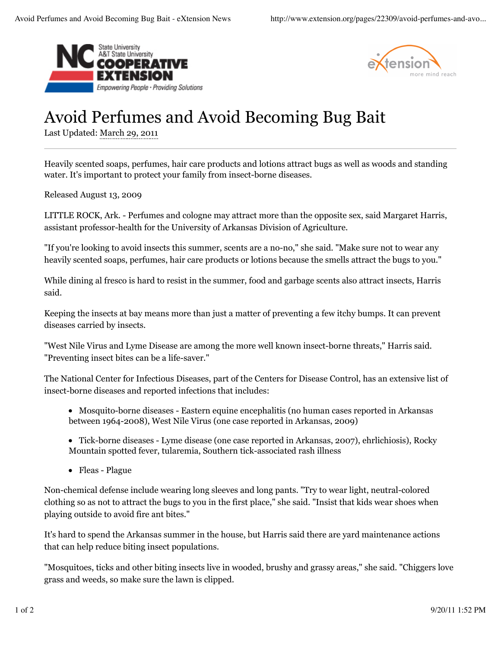



## Avoid Perfumes and Avoid Becoming Bug Bait

Last Updated: March 29, 2011

Heavily scented soaps, perfumes, hair care products and lotions attract bugs as well as woods and standing water. It's important to protect your family from insect-borne diseases.

Released August 13, 2009

LITTLE ROCK, Ark. - Perfumes and cologne may attract more than the opposite sex, said Margaret Harris, assistant professor-health for the University of Arkansas Division of Agriculture.

"If you're looking to avoid insects this summer, scents are a no-no," she said. "Make sure not to wear any heavily scented soaps, perfumes, hair care products or lotions because the smells attract the bugs to you."

While dining al fresco is hard to resist in the summer, food and garbage scents also attract insects, Harris said.

Keeping the insects at bay means more than just a matter of preventing a few itchy bumps. It can prevent diseases carried by insects.

"West Nile Virus and Lyme Disease are among the more well known insect-borne threats," Harris said. "Preventing insect bites can be a life-saver."

The National Center for Infectious Diseases, part of the Centers for Disease Control, has an extensive list of insect-borne diseases and reported infections that includes:

- Mosquito-borne diseases Eastern equine encephalitis (no human cases reported in Arkansas between 1964-2008), West Nile Virus (one case reported in Arkansas, 2009)
- Tick-borne diseases Lyme disease (one case reported in Arkansas, 2007), ehrlichiosis), Rocky Mountain spotted fever, tularemia, Southern tick-associated rash illness
- Fleas Plague

Non-chemical defense include wearing long sleeves and long pants. "Try to wear light, neutral-colored clothing so as not to attract the bugs to you in the first place," she said. "Insist that kids wear shoes when playing outside to avoid fire ant bites."

It's hard to spend the Arkansas summer in the house, but Harris said there are yard maintenance actions that can help reduce biting insect populations.

"Mosquitoes, ticks and other biting insects live in wooded, brushy and grassy areas," she said. "Chiggers love grass and weeds, so make sure the lawn is clipped.